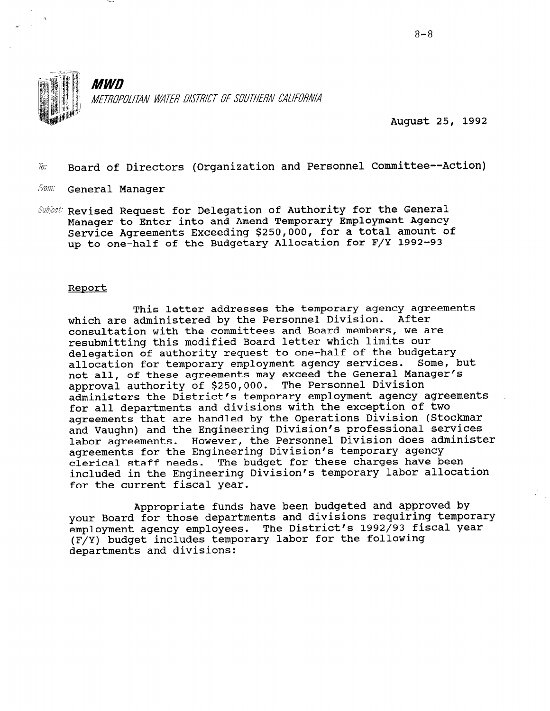

August 25, 1992

 $\tilde{w}$ . Board of Directors (Organization and Personnel Committee--Action)

- fram: General Manager
- Subject: Revised Request for Delegation of Authority for the General Manager to Enter into and Amend Temporary Employment Agency Service Agreements Exceeding \$250,000, for a total amount of up to one-half of the Budgetary Allocation for F/Y 1992-93

#### Report

This letter addresses the temporary agency agreements which are administered by the Personnel Division. After consultation with the committees and Board members, we are resubmitting this modified Board letter which limits our delegation of authority request to one-half of the budgetary allocation for temporary employment agency services. Some, but not all, of these agreements may exceed the General Manager's approval authority of \$250,000. The Personnel Division administers the District's temporary employment agency agreements for all departments and divisions with the exception of two agreements that are handled by the Operations Division (Stockmar and Vaughn) and the Engineering Division's professional services labor agreements. However, the Personnel Division does administer agreements for the Engineering Division's temporary agency clerical staff needs. The budget for these charges have been included in the Engineering Division's temporary labor allocation for the current fiscal year.

Appropriate funds have been budgeted and approved by your Board for those departments and divisions requiring temporary employment agency employees. The District's 1992/93 fiscal year (F/Y) budget includes temporary labor for the following departments and divisions: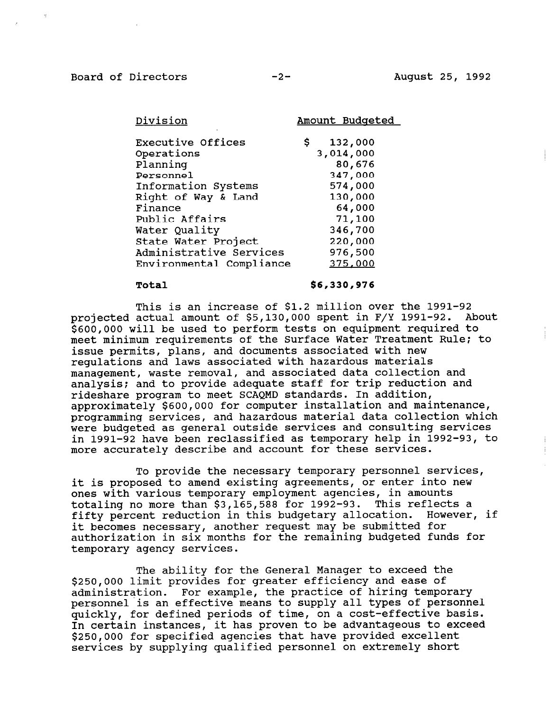Board of Directors -2- -2- August 25, 1992

| Amount Budgete |
|----------------|
| 132,000<br>\$. |
| 3,014,000      |
| 80,676         |
| 347,000        |
| 574,000        |
| 130,000        |
| 64,000         |
| 71,100         |
| 346,700        |
| 220,000        |
| 976,500        |
| 375,000        |
|                |

#### Total \$6,330,976

This is an increase of \$1.2 million over the 1991-92 projected actual amount of \$5,130,000 spent in F/Y 1991-92. About \$600,000 will be used to perform tests on equipment required to meet minimum requirements of the Surface Water Treatment Rule: to issue permits, plans, and documents associated with new regulations and laws associated with hazardous materials management, waste removal, and associated data collection and analysis; and to provide adequate staff for trip reduction and rideshare program to meet SCAQMD standards. In addition, approximately \$600,000 for computer installation and maintenance, programming services, and hazardous material data collection which were budgeted as general outside services and consulting services in 1991-92 have been reclassified as temporary help in 1992-93, to more accurately describe and account for these services.

To provide the necessary temporary personnel services, it is proposed to amend existing agreements, or enter into new ones with various temporary employment agencies, in amounts totaling no more than \$3,165,588 for 1992-93. This reflects a fifty percent reduction in this budgetary allocation. However, if it becomes necessary, another request may be submitted for authorization in six months for the remaining budgeted funds for authorization in six months for the remaining budgeted funds for<br>temporary agency services.

The ability for the General Manager to exceed the \$250,000 limit provides for greater efficiency and ease of administration. For example, the practice of hiring temporary ddministration. For example, the practice of niffing temporary personner is an effective means to supply all types of personne quickly, for defined periods of the, on a cost-effective basis<br>In certain instances, it has proven to be advantageous to excee In certain instances, it has proven to be advantageous to exceed<br>\$250,000 for specified agencies that have provided excellent services by supplying qualified personnel on extremely short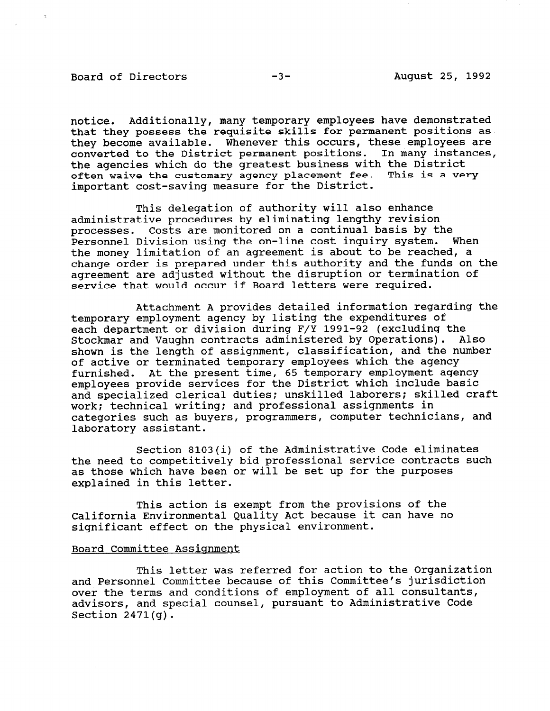#### Board of Directors -3- August 25, 1992

notice. Additionally, many temporary employees have demonstrated that they possess the requisite skills for permanent positions as they become available. Whenever this occurs, these employees are converted to the District permanent positions. In many instances, the agencies which do the greatest business with the District often waive the customary agency placement fee. This is a very important cost-saving measure for the District.

This delegation of authority will also enhance administrative procedures by eliminating lengthy revision processes. Costs are monitored on a continual basis by the Personnel Division using the on-line cost inquiry system. When the money limitation of an agreement is about to be reached, a change order is prepared under this authority and the funds on the agreement are adjusted without the disruption or termination of service that would occur if Board letters were required.

Attachment A provides detailed information regarding the temporary employment agency by listing the expenditures of each department or division during F/Y 1991-92 (excluding the Stockmar and Vaughn contracts administered by Operations). Also shown is the length of assignment, classification, and the number of active or terminated temporary employees which the agency furnished. At the present time, 65 temporary employment agency employees provide services for the District which include basic and specialized clerical duties; unskilled laborers; skilled craft work: technical writing: and professional assignments in categories such as buyers, programmers, computer technicians, and laboratory assistant.

Section 8103(i) of the Administrative Code eliminates the need to competitively bid professional service contracts such as those which have been or will be set up for the purposes explained in this letter.

This action is exempt from the provisions of the California Environmental Quality Act because it can have no significant effect on the physical environment.

### Board Committee Assignment

This letter was referred for action to the Organization and Personnel Committee because of this Committee's jurisdiction over the terms and conditions of employment of all consultants, advisors, and special counsel, pursuant to Administrative Code Section 2471(g).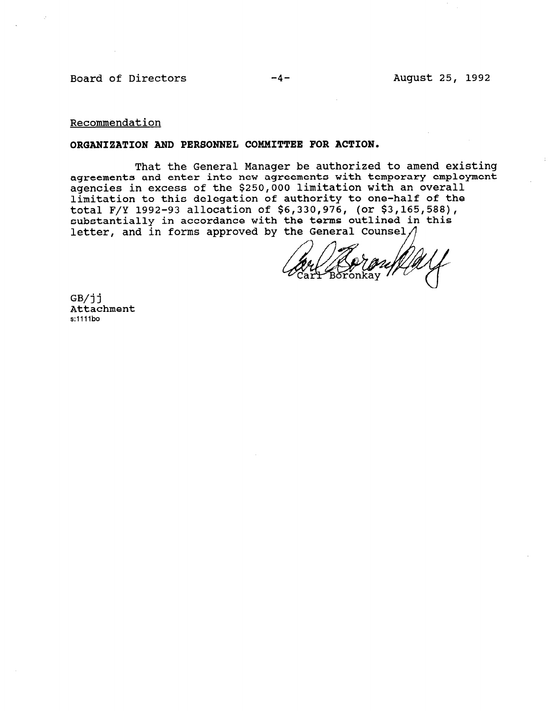Board of Directors

Recommendation

#### ORGANIZATION AND PERSONNEL COMMITTEE FOR ACTION

That the General Manager be authorized to amend existi agreements and enter into new agreements with temporary employment agencies in excess of the \$250,000 limitation with an overall limitation to this delegation of authority to one-half of the total F/Y 1992-93 allocation of \$6,330,976, (or \$3,165,58 substantially in accordance with the terms outlined in this letter, and in forms approved by the General Counsel $\Lambda$ 

 $GB/11$ Attachment s:1111bo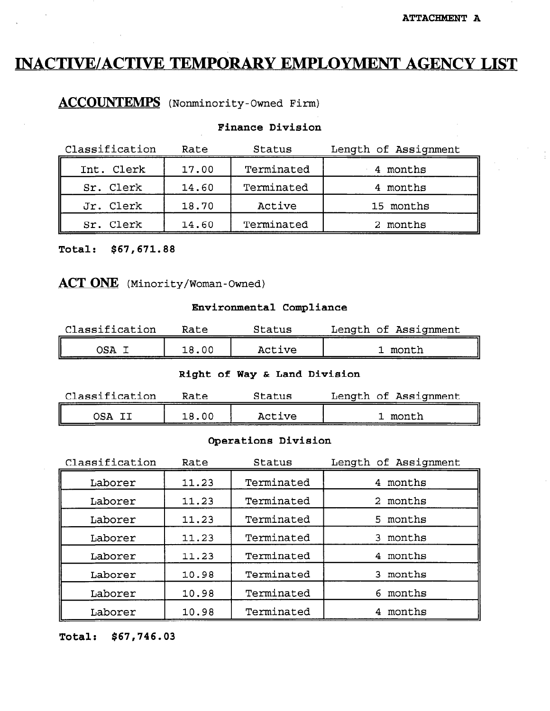# INACTIVE/ACTIVE TEMPORARY EMPLOYMENT AGENCY LIST

ACCOUNTEMPS (Nonminority-Owned Firm)

### Finance Division

| Classification | Rate  | Status     | Length of Assignment |
|----------------|-------|------------|----------------------|
| Int. Clerk     | 17.00 | Terminated | 4 months             |
| Sr. Clerk      | 14.60 | Terminated | 4 months             |
| Jr. Clerk      | 18.70 | Active     | 15 months            |
| Sr. Clerk      | 14.60 | Terminated | 2 months             |

Total: \$67,671.88

ACT ONE (Minority/Woman-Owned)

#### Environmental Compliance

| Classification | Rate  | Status | Length of Assignment |
|----------------|-------|--------|----------------------|
| )SA            | 18.00 | Active | month                |

#### Right of Way & Land Division

| Classification | Rate | Status | Length of Assignment |
|----------------|------|--------|----------------------|
|                | 0C   | Active | month                |

#### Operations Division

| Classification | Rate  | Status     | Length of Assignment |
|----------------|-------|------------|----------------------|
| Laborer        | 11.23 | Terminated | 4 months             |
| Laborer        | 11.23 | Terminated | 2 months             |
| Laborer        | 11.23 | Terminated | 5 months             |
| Laborer        | 11.23 | Terminated | 3 months             |
| Laborer        | 11.23 | Terminated | 4 months             |
| Laborer        | 10.98 | Terminated | 3 months             |
| Laborer        | 10.98 | Terminated | 6 months             |
| Laborer        | 10.98 | Terminated | months               |

Total: \$67,746.03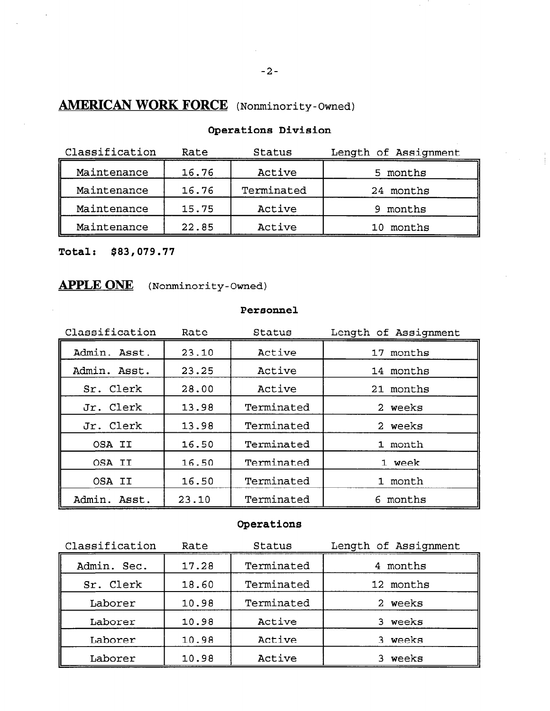# AMERICAN WORK FORCE (Nonminority-Owned)

| Classification | Rate  | Status     | Length of Assignment |
|----------------|-------|------------|----------------------|
| Maintenance    | 16.76 | Active     | 5 months             |
| Maintenance    | 16.76 | Terminated | 24 months            |
| Maintenance    | 15.75 | Active     | months<br>9          |
| Maintenance    | 22.85 | Active     | 10 months            |

Operations Division

Total: \$83,079.77

# APPLE ONE (Nonminority-Owned)

#### Personnel

| Classification  | Rate  | Status     | Length of Assignment |
|-----------------|-------|------------|----------------------|
| Admin. Asst.    | 23.10 | Active     | 17 months            |
| Admin. Asst.    | 23.25 | Active     | 14 months            |
| Sr. Clerk       | 28.00 | Active     | 21 months            |
| Jr. Clerk       | 13.98 | Terminated | 2 weeks              |
| Jr. Clerk       | 13.98 | Terminated | 2 weeks              |
| OSA II          | 16.50 | Terminated | 1 month              |
| OSA II          | 16.50 | Terminated | 1 week               |
| OSA II          | 16.50 | Terminated | 1 month              |
| Admin.<br>Asst. | 23.10 | Terminated | 6 months             |

# Operations

| Classification | Rate  | Status     | Length of Assignment |
|----------------|-------|------------|----------------------|
| Admin. Sec.    | 17.28 | Terminated | 4 months             |
| Sr. Clerk      | 18.60 | Terminated | 12 months            |
| Laborer        | 10.98 | Terminated | 2 weeks              |
| Laborer        | 10.98 | Active     | weeks<br>3.          |
| Laborer        | 10.98 | Active     | weeks<br>3.          |
| Laborer        | 10.98 | Active     | weeks                |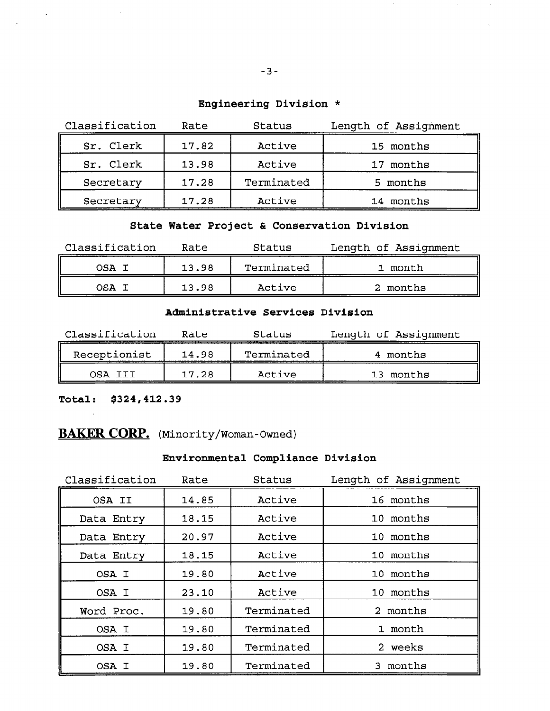# Engineering Division \*

| Classification | Rate  | Status     | Length of Assignment |
|----------------|-------|------------|----------------------|
| Sr. Clerk      | 17.82 | Active     | 15 months            |
| Sr. Clerk      | 13.98 | Active     | 17 months            |
| Secretary      | 17.28 | Terminated | 5 months             |
| Secretary      | 17.28 | Active     | 14 months            |

# State Water Project & Conservation Division

| Classification | Rate  | Status     | Length of Assignment |
|----------------|-------|------------|----------------------|
| OSA I          | 13.98 | Terminated | 1 month              |
| OSA            | 13.98 | Active     | -------<br>2 months  |

#### Administrative Services Division

| Classification | Rate  | Status     | Length of Assignment |
|----------------|-------|------------|----------------------|
| Receptionist   | 14.98 | Terminated | months               |
| מ ⊇ו           | 17.28 | Active     | 13 months            |

Total: \$324,412.39

# BAKER CORP. (Minority/Woman-Owned)

# Environmental Compliance Division

| Classification | Rate  | Status     | Length of Assignment |
|----------------|-------|------------|----------------------|
| OSA II         | 14.85 | Active     | 16 months            |
| Data Entry     | 18.15 | Active     | 10 months            |
| Data Entry     | 20.97 | Active     | 10 months            |
| Data Entry     | 18.15 | Active     | 10 months            |
| OSA I          | 19.80 | Active     | 10 months            |
| OSA I          | 23.10 | Active     | 10 months            |
| Word Proc.     | 19.80 | Terminated | 2 months             |
| OSA I          | 19.80 | Terminated | 1 month              |
| OSA I          | 19.80 | Terminated | 2 weeks              |
| OSA I          | 19.80 | Terminated | 3 months             |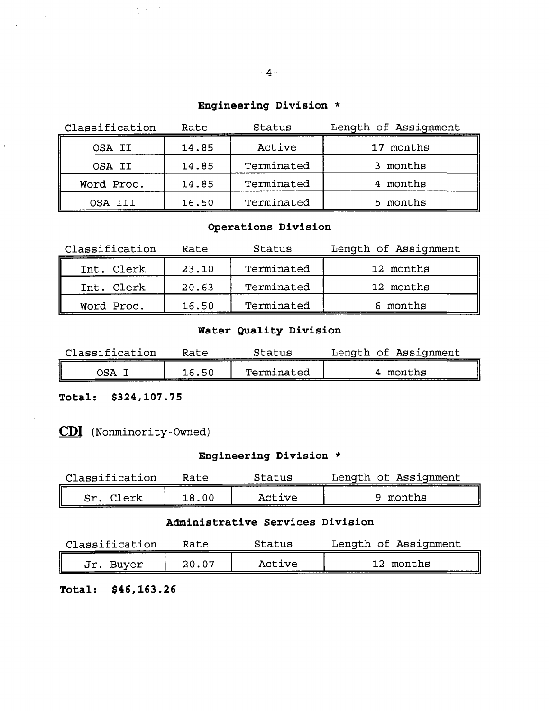# Engineering Division \*

| Classification | Rate  | Status     | Length of Assignment |
|----------------|-------|------------|----------------------|
| OSA II         | 14.85 | Active     | 17 months            |
| OSA II         | 14.85 | Terminated | 3 months             |
| Word Proc.     | 14.85 | Terminated | 4 months             |
| OSA III        | 16.50 | Terminated | 5 months             |

# Operations Division

| Classification | Rate  | Status     | Length of Assignment |
|----------------|-------|------------|----------------------|
| Int. Clerk     | 23.10 | Terminated | 12 months            |
| Int. Clerk     | 20.63 | Terminated | 12 months            |
| Word Proc.     | 16.50 | Terminated | 6 months             |

# Water Quality Division

| Classification | Rate  | Status     | Length of Assignment |
|----------------|-------|------------|----------------------|
| 15 A           | 16.50 | Terminated | months               |

Total: \$324,107.75

CD1 (Nonminority-Owned)

 $\frac{1}{2} \left( \frac{1}{2} \right)^{2}$ 

# Engineering Division \*

| Classification | Rate  | Status | Length of Assignment |
|----------------|-------|--------|----------------------|
| Clerk<br>Sr    | 18.00 | Active | 9 months             |

# Administrative Services Division

| Classification | Rate  | Status | Length of Assignment |
|----------------|-------|--------|----------------------|
| Jr.<br>Buver   | 20.07 | Active | 12 months            |

Total: \$46,163.26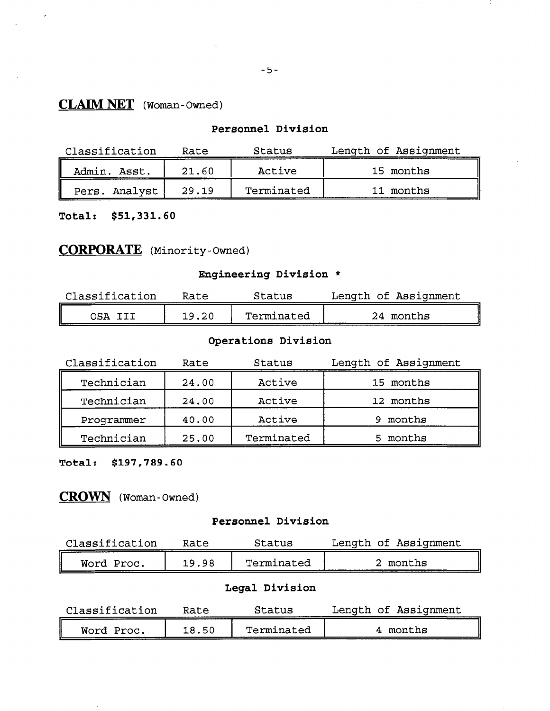# CLAIM NET (Woman-Owned)

### Personnel Division

| Classification  | Rate  | Status     | Length of Assignment |
|-----------------|-------|------------|----------------------|
| Admin.<br>Asst. | 21.60 | Active     | 15 months            |
| Pers. Analyst   | 29.19 | Terminated | 11 months            |

Total: \$51,331.60

# CORPORATE (Minority-Owned)

# Engineering Division \*

| Classification | Rate  | Status     | Length of Assignment |
|----------------|-------|------------|----------------------|
|                | 19.20 | Terminated | 24 months            |

# Operations Division

| Classification | Rate  | Status     | Length of Assignment |
|----------------|-------|------------|----------------------|
| Technician     | 24.00 | Active     | 15 months            |
| Technician     | 24.00 | Active     | 12 months            |
| Programmer     | 40.00 | Active     | 9 months             |
| Technician     | 25.00 | Terminated | 5 months             |

Total: \$197,789.60

# CROWN (Woman-Owned)

#### Personnel Division

| Classification | Rate  | Status     | Length of Assignment |
|----------------|-------|------------|----------------------|
| Word Proc.     | 19.98 | Terminated | 2 months             |

# Legal Division

| Classification | Rate  | Status     | Length of Assignment |
|----------------|-------|------------|----------------------|
| Word Proc.     | 18.50 | Terminated | months               |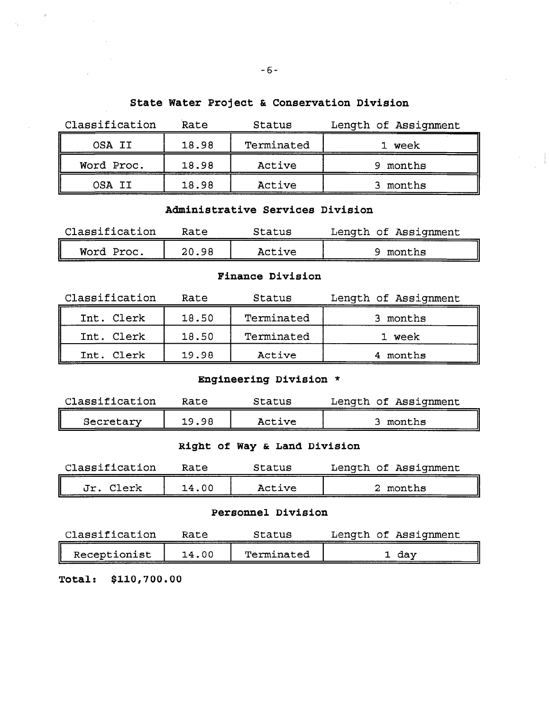# State Water Project & Conservation Division

| Classification | Rate  | Status     | Length of Assignment |
|----------------|-------|------------|----------------------|
| OSA II         | 18.98 | Terminated | 1 week               |
| Word Proc.     | 18.98 | Active     | 9 months             |
| OSA II         | 18.98 | Active     | months               |

#### Administrative Services Division

| Classification | Rate  | Status | Length of Assignment |
|----------------|-------|--------|----------------------|
| Word Proc.     | 20.98 | Active | months               |

#### Finance Division

| Classification | Rate  | Status     | Length of Assignment |
|----------------|-------|------------|----------------------|
| Int. Clerk     | 18.50 | Terminated | months               |
| Int. Clerk     | 18.50 | Terminated | 1 week               |
| Int. Clerk     | 19.98 | Active     | 4 months             |

# Engineering Division \*

| Classification | Rate  | Status | Length of Assignment |
|----------------|-------|--------|----------------------|
| Secretary      | 19.98 | Active | months               |

# Right of Way & Land Division

| Classification | Rate  | Status | Length of Assignment |
|----------------|-------|--------|----------------------|
| Jr<br>Clerk    | 14.00 | Active | months               |

#### Personnel Division

| Classification | Rate  | Status     |  | Length of Assignment |
|----------------|-------|------------|--|----------------------|
| Receptionist   | 14.00 | Terminated |  | dav                  |

Total: \$110,700.00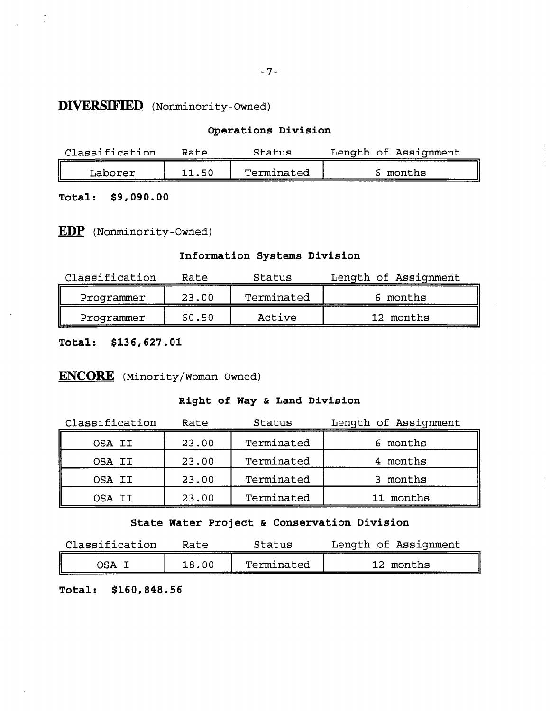### DIVERSIFIED (Nonminority-Ow

#### Operations Division

| Classification |     | Status     | Length of Assignment |
|----------------|-----|------------|----------------------|
| Laborer        | .5C | Terminated | months               |

Total: \$9,090.00

EDP (Nonminority-Owned)

### Information Systems Division

| Classification | Rate  | Status     | Length of Assignment |
|----------------|-------|------------|----------------------|
| Programmer     | 23.00 | Terminated | months               |
| Programmer     | 60.50 | Active     | 12 months            |

Total: \$136,627.01

# ENCORE (Minority/Woman-Owned)

### Right of Way & Land Division

| Classification | Rate  | Status     | Length of Assignment |
|----------------|-------|------------|----------------------|
| OSA II         | 23.00 | Terminated | 6 months             |
| OSA II         | 23.00 | Terminated | 4 months             |
| OSA II         | 23.00 | Terminated | 3 months             |
| OSA II         | 23.00 | Terminated | 11 months            |

State Water Project & Conservation Division

| Classification | Rate  | Status     | Length of Assignment |
|----------------|-------|------------|----------------------|
| OSA            | 18.00 | Terminated | 12 months            |

Total: \$160,848.56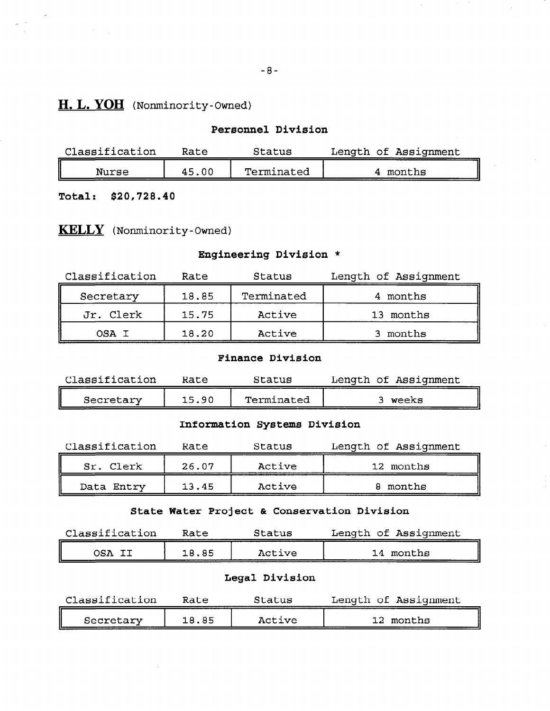# H. L. YOH (Nonminority-Owned)

#### Personnel Division

| Classification | Rate  | Status     | Length of Assignment |
|----------------|-------|------------|----------------------|
| Nurse          | 45.00 | Terminated | months               |

Total: \$20,728.40

# KELLY (Nonminority-Owned)

# Engineering Division \*

| Classification | Rate  | Status     | Length of Assignment |
|----------------|-------|------------|----------------------|
| Secretary      | 18.85 | Terminated | 4 months             |
| Jr. Clerk      | 15.75 | Active     | 13 months            |
| OSA I          | 18.20 | Active     | months               |

#### Finance Division

| Classification | Rate  | Status     | Length of Assignment |
|----------------|-------|------------|----------------------|
| Secretary      | 15.90 | Terminated | weeks                |

#### Information Systems Division

| Classification | Rate  | Status | Length of Assignment |
|----------------|-------|--------|----------------------|
| Sr. Clerk      | 26.07 | Active | 12 months            |
| Data Entry     | 13.45 | Active | months               |

### State Water Project & Conservation Division

| Classification | Rate  | Status | Length of Assignment |
|----------------|-------|--------|----------------------|
| בקצנ           | 18.85 | Active | months<br>14         |

#### Legal Division

| Classification | Rate  | Status | Length of Assignment |
|----------------|-------|--------|----------------------|
| Secretary      | 18.85 | Active | months               |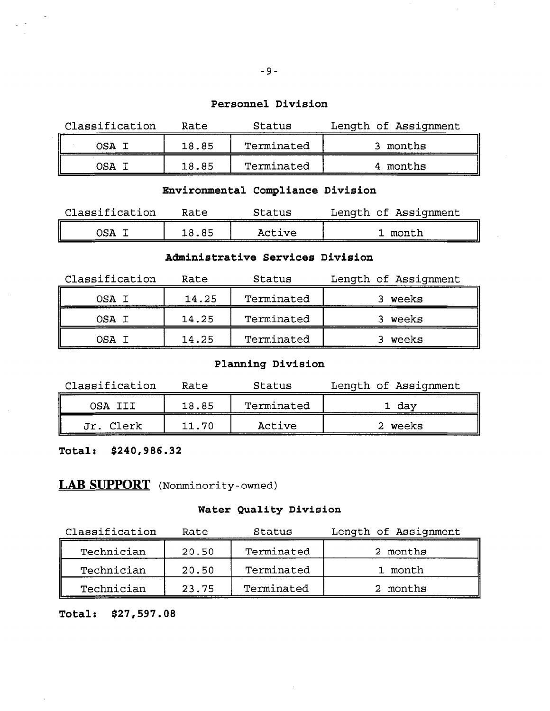#### Personnel Division

| Classification | Rate  | Status     | Length of Assignment |
|----------------|-------|------------|----------------------|
| OSA            | 18.85 | Terminated | months               |
| בΩר            | 18.85 | Terminated | 4 months             |

# Environmental Compliance Division

| Classification | Rate | Status | Length of Assignment |
|----------------|------|--------|----------------------|
| OSA            | . 85 | Active | month                |

#### Administrative Services Division

| Classification | Rate  | Status     | Length of Assignment |
|----------------|-------|------------|----------------------|
| OSA T          | 14.25 | Terminated | weeks                |
| OSA T          | 14.25 | Terminated | 3 weeks              |
| NSA T          | 14.25 | Terminated | weeks                |

### Planning Division

| Classification | Rate  | Status     | Length of Assignment |
|----------------|-------|------------|----------------------|
| OSA III        | 18.85 | Terminated | 1 day                |
| Jr. Clerk      | 11.70 | Active     | weeks                |

Total: \$240,986.32

# LAB SUPPORT (Nonminority-owned)

### Water Quality Division

| Classification | Rate  | Status     | Length of Assignment |
|----------------|-------|------------|----------------------|
| Technician     | 20.50 | Terminated | 2 months             |
| Technician     | 20.50 | Terminated | 1 month              |
| Technician     | 23.75 | Terminated | 2 months             |

### Total: \$27,597.08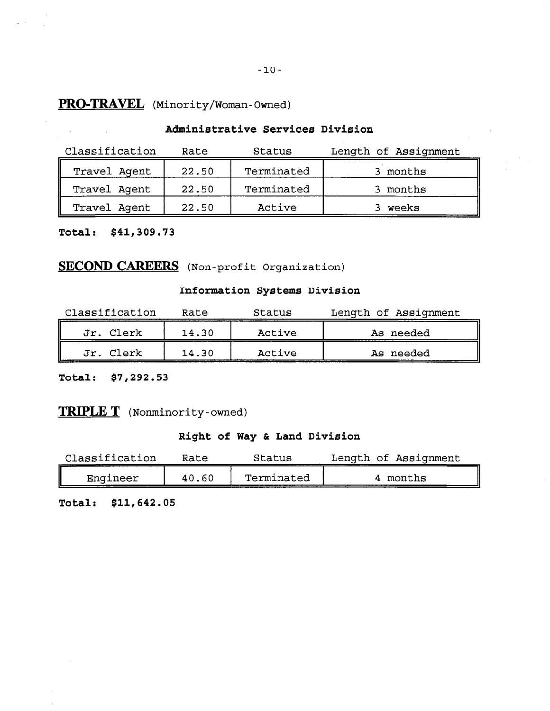# PRO-TRAVEL (Minority/Woman-Owned)

### Administrative Services Division

| Classification | Rate  | Status     | Length of Assignment |
|----------------|-------|------------|----------------------|
| Travel Agent   | 22.50 | Terminated | 3 months             |
| Travel Agent   | 22.50 | Terminated | 3 months             |
| Travel Agent   | 22.50 | Active     | weeks                |

Total: \$41,309.73

 $\frac{1}{\sqrt{2\pi}}\left(\frac{1}{2}\right)^{2}$ 

# SECOND CAREERS (Non-profit Organization)

### Information Systems Division

| Classification | Rate  | Status | Length of Assignment |
|----------------|-------|--------|----------------------|
| Jr. Clerk      | 14.30 | Active | As needed            |
| Jr. Clerk      | 14.30 | Active | As needed            |

Total: \$7,292.53

# TRIPLE T (Nonminority-owned)

# Right of Way & Land Division

| Classification | Rate  | Status     | Length of Assignment |
|----------------|-------|------------|----------------------|
| Engineer       | 40.60 | Terminated | 4 months             |

Total: \$11,642.05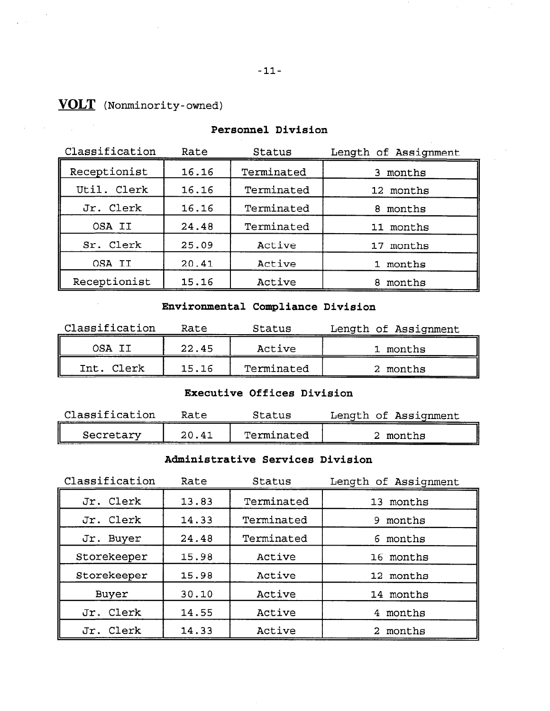# VOLT (Nonminority-owned)

| Classification | Rate  | Status     | Length of Assignment |
|----------------|-------|------------|----------------------|
| Receptionist   | 16.16 | Terminated | 3 months             |
| Util. Clerk    | 16.16 | Terminated | 12 months            |
| Jr. Clerk      | 16.16 | Terminated | months<br>8.         |
| OSA II         | 24.48 | Terminated | 11 months            |
| Sr. Clerk      | 25.09 | Active     | 17 months            |
| OSA II         | 20.41 | Active     | 1 months             |
| Receptionist   | 15.16 | Active     | months<br>8          |

#### Personnel Division

# Environmental Compliance Division

| Classification | Rate  | Status     | Length of Assignment |
|----------------|-------|------------|----------------------|
| OSA II         | 22.45 | Active     | 1 months             |
| Clerk<br>Int.  | 15.16 | Terminated | 2 months             |

#### Executive Offices Division

| Classification | Rate  | Status     | Length of Assignment |
|----------------|-------|------------|----------------------|
| Secretary      | 20.41 | Terminated | months               |

# Administrative Services Division

| Classification | Rate  | Status     | Length of Assignment |
|----------------|-------|------------|----------------------|
| Jr. Clerk      | 13.83 | Terminated | 13 months            |
| Jr. Clerk      | 14.33 | Terminated | 9 months             |
| Buyer<br>Jr.   | 24.48 | Terminated | 6 months             |
| Storekeeper    | 15.98 | Active     | 16 months            |
| Storekeeper    | 15.98 | Active     | 12 months            |
| Buyer          | 30.10 | Active     | 14 months            |
| Jr. Clerk      | 14.55 | Active     | months               |
| Jr. Clerk      | 14.33 | Active     | 2 months             |